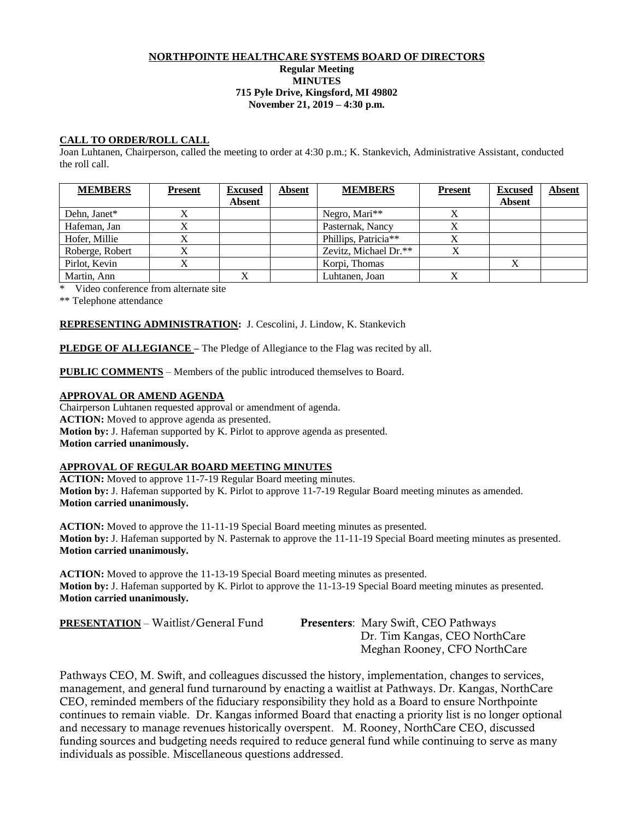#### NORTHPOINTE HEALTHCARE SYSTEMS BOARD OF DIRECTORS **Regular Meeting MINUTES 715 Pyle Drive, Kingsford, MI 49802 November 21, 2019 – 4:30 p.m.**

# **CALL TO ORDER/ROLL CALL**

Joan Luhtanen, Chairperson, called the meeting to order at 4:30 p.m.; K. Stankevich, Administrative Assistant, conducted the roll call.

| <b>MEMBERS</b>  | <b>Present</b> | <b>Excused</b><br><b>Absent</b> | Absent | <b>MEMBERS</b>            | <b>Present</b> | <b>Excused</b><br><b>Absent</b> | <b>Absent</b> |
|-----------------|----------------|---------------------------------|--------|---------------------------|----------------|---------------------------------|---------------|
| Dehn, Janet*    |                |                                 |        | Negro, Mari <sup>**</sup> | A              |                                 |               |
| Hafeman, Jan    |                |                                 |        | Pasternak, Nancy          | X              |                                 |               |
| Hofer, Millie   |                |                                 |        | Phillips, Patricia**      | X              |                                 |               |
| Roberge, Robert |                |                                 |        | Zevitz, Michael Dr.**     | X              |                                 |               |
| Pirlot, Kevin   |                |                                 |        | Korpi, Thomas             |                |                                 |               |
| Martin, Ann     |                |                                 |        | Luhtanen, Joan            |                |                                 |               |

\* Video conference from alternate site

\*\* Telephone attendance

### **REPRESENTING ADMINISTRATION:** J. Cescolini, J. Lindow, K. Stankevich

**PLEDGE OF ALLEGIANCE –** The Pledge of Allegiance to the Flag was recited by all.

**PUBLIC COMMENTS** – Members of the public introduced themselves to Board.

# **APPROVAL OR AMEND AGENDA**

Chairperson Luhtanen requested approval or amendment of agenda. **ACTION:** Moved to approve agenda as presented. **Motion by:** J. Hafeman supported by K. Pirlot to approve agenda as presented. **Motion carried unanimously.**

# **APPROVAL OF REGULAR BOARD MEETING MINUTES**

**ACTION:** Moved to approve 11-7-19 Regular Board meeting minutes. **Motion by:** J. Hafeman supported by K. Pirlot to approve 11-7-19 Regular Board meeting minutes as amended. **Motion carried unanimously.**

**ACTION:** Moved to approve the 11-11-19 Special Board meeting minutes as presented. **Motion by:** J. Hafeman supported by N. Pasternak to approve the 11-11-19 Special Board meeting minutes as presented. **Motion carried unanimously.**

**ACTION:** Moved to approve the 11-13-19 Special Board meeting minutes as presented. **Motion by:** J. Hafeman supported by K. Pirlot to approve the 11-13-19 Special Board meeting minutes as presented. **Motion carried unanimously.**

**PRESENTATION** – Waitlist/General Fund Presenters: Mary Swift, CEO Pathways

Dr. Tim Kangas, CEO NorthCare Meghan Rooney, CFO NorthCare

Pathways CEO, M. Swift, and colleagues discussed the history, implementation, changes to services, management, and general fund turnaround by enacting a waitlist at Pathways. Dr. Kangas, NorthCare CEO, reminded members of the fiduciary responsibility they hold as a Board to ensure Northpointe continues to remain viable. Dr. Kangas informed Board that enacting a priority list is no longer optional and necessary to manage revenues historically overspent. M. Rooney, NorthCare CEO, discussed funding sources and budgeting needs required to reduce general fund while continuing to serve as many individuals as possible. Miscellaneous questions addressed.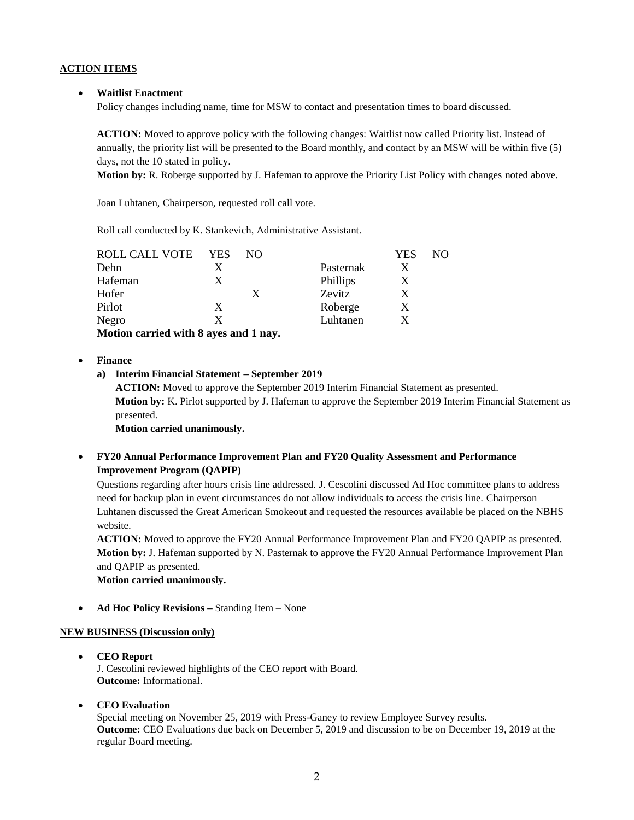# **ACTION ITEMS**

#### • **Waitlist Enactment**

Policy changes including name, time for MSW to contact and presentation times to board discussed.

**ACTION:** Moved to approve policy with the following changes: Waitlist now called Priority list. Instead of annually, the priority list will be presented to the Board monthly, and contact by an MSW will be within five (5) days, not the 10 stated in policy.

**Motion by:** R. Roberge supported by J. Hafeman to approve the Priority List Policy with changes noted above.

Joan Luhtanen, Chairperson, requested roll call vote.

Roll call conducted by K. Stankevich, Administrative Assistant.

| ROLL CALL VOTE                                                                          | <b>YES</b> | NO. |           | <b>YES</b> | NO. |
|-----------------------------------------------------------------------------------------|------------|-----|-----------|------------|-----|
| Dehn                                                                                    |            |     | Pasternak |            |     |
| Hafeman                                                                                 | X          |     | Phillips  |            |     |
| Hofer                                                                                   |            |     | Zevitz    |            |     |
| Pirlot                                                                                  | X          |     | Roberge   |            |     |
| Negro                                                                                   | X          |     | Luhtanen  |            |     |
| $M_{\rm H}$ $M_{\rm H}$ is a second of small. $\Omega$ second on $\Lambda$ if as second |            |     |           |            |     |

**Motion carried with 8 ayes and 1 nay.**

#### • **Finance**

### **a) Interim Financial Statement – September 2019**

**ACTION:** Moved to approve the September 2019 Interim Financial Statement as presented. **Motion by:** K. Pirlot supported by J. Hafeman to approve the September 2019 Interim Financial Statement as presented.

**Motion carried unanimously.**

# • **FY20 Annual Performance Improvement Plan and FY20 Quality Assessment and Performance Improvement Program (QAPIP)**

Questions regarding after hours crisis line addressed. J. Cescolini discussed Ad Hoc committee plans to address need for backup plan in event circumstances do not allow individuals to access the crisis line. Chairperson Luhtanen discussed the Great American Smokeout and requested the resources available be placed on the NBHS website.

**ACTION:** Moved to approve the FY20 Annual Performance Improvement Plan and FY20 QAPIP as presented. **Motion by:** J. Hafeman supported by N. Pasternak to approve the FY20 Annual Performance Improvement Plan and QAPIP as presented.

**Motion carried unanimously.**

• **Ad Hoc Policy Revisions –** Standing Item – None

### **NEW BUSINESS (Discussion only)**

- **CEO Report** J. Cescolini reviewed highlights of the CEO report with Board. **Outcome:** Informational.
- **CEO Evaluation**

Special meeting on November 25, 2019 with Press-Ganey to review Employee Survey results. **Outcome:** CEO Evaluations due back on December 5, 2019 and discussion to be on December 19, 2019 at the regular Board meeting.